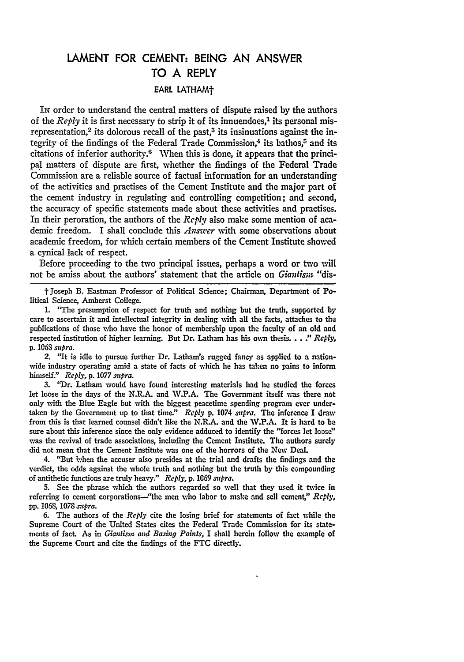## **LAMENT** FOR **CEMENT: BEING AN** ANSWER TO **A** REPLY EARL LATHAMf

Ix order to understand the central matters of dispute raised by the authors of the *Reply* it is first necessary to strip it of its innuendoes,' its personal misrepresentation,<sup>2</sup> its dolorous recall of the past, $3$  its insinuations against the integrity of the findings of the Federal Trade Commission,<sup>4</sup> its bathos,<sup>5</sup> and its citations of inferior authority.<sup>6</sup> When this is done, it appears that the principal matters of dispute are first, whether the findings of the Federal Trade Commission are a reliable source of factual information for an understanding of the activities and practises of the Cement Institute and the major part of the cement industry in regulating and controlling competition; and second, the accuracy of specific statements made about these activities and practises. In their peroration, the authors of the *Reply* also make some mention of academic freedom. I shall conclude this *Answer* with some observations about academic freedom, for which certain members of the Cement Institute showed a cynical lack of respect.

Before proceeding to the two principal issues, perhaps a word or two will not be amiss about the authors' statement that the article on *Giantism,* "dis-

t Joseph B. Eastman Professor of Political Science; Chairman, Department of Political Science, Amherst College.

**1.** "The presumption of respect for truth and nothing but the truth, supported **by** care to ascertain it and intellectual integrity in dealing with all the facts, attaches to the publications of those who have the honor of membership upon the faculty of an old and respected institution of higher learning. But Dr. Latham has his own thesis...." *Reply,* **p.** 1068 *supra.*

2. "It is idle to pursue further Dr. Latharn's rugged fancy as applied to a nationwide industry operating amid a state of facts of which he has taken no pains to inform himself." *Reply,* **p.** 1077 *supra.*

3. "Dr. Latham would have found interesting materials had he studied the forces let loose in the days of the **N.R.A.** and **W.P.A.** The Government itself **was** there not only with the Blue Eagle but with the biggest peacetime spending program ever undertaken **by** the Government up to that time." *Reply* **p.** 1074 *supra.* The inference I draw from this is that learned counsel didn't like the **N.R.A.** and the W.P.A. It is hard to be sure about this inference since the only evidence adduced to identify the "forces let loose" was the revival of trade associations, including the Cement Institute. The authors surely did not mean that the Cement Institute was one of the horrors of the **New** Deal.

4. "But ivhen the accuser also presides at the trial and drafts the findings and the verdict, the odds against the whole truth and nothing but the truth **by** this compounding of antithetic functions are truly heavy." *Reply,* **p.** 1069 *supra.*

**5.** See the phrase which the authors regarded so well that they used it twice in referring to cement corporations—"the men who labor to make and sell cement," *Reply*, **pp. 1068, 1078** *supra.*

**6.** The authors of the *Repl,* cite the losing brief for statements of fact while the Supreme Court of the United States cites the Federal Trade Commission for its statements of fact. As in *Giantism and Basing Points*, I shall herein follow the example of the Supreme Court and cite the findings of the **FTC** directly.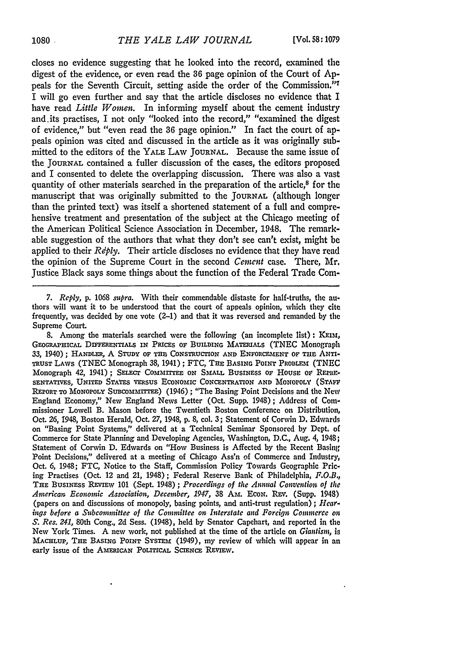closes no evidence suggesting that he looked into the record, examined the digest of the evidence, or even read the **36** page opinion of the Court of Appeals for the Seventh Circuit, setting aside the order of the Commission."7 I will go even further and say that the article discloses no evidence that I have read *Little Women.* In informing myself about the cement industry and.its practises, I not only "looked into the record," "examined the digest of evidence," but "even read the **36** page opinion." In fact the court of appeals opinion was cited and discussed in the article as it was originally submitted to the editors of the YALE LAW **JOURNAL.** Because the same issue of the JOURNAL contained a fuller discussion of the cases, the editors proposed and I consented to delete the overlapping discussion. There was also a vast quantity of other materials searched in the preparation of the article,<sup>8</sup> for the manuscript that was originally submitted to the **JOURNAL** (although longer than the printed text) was itself a shortened statement of a full and comprehensive treatment and presentation of the subject at the Chicago meeting of the American Political Science Association in December, 1948. The remarkable suggestion of the authors that what they don't see can't exist, might **be** applied to their *Rdply.* Their article discloses no evidence that they have read the opinion of the Supreme Court in the second *Cement* case. There, Mr. Justice Black says some things about the function of the Federal Trade Com-

*7. Reply,* p. 1068 *supra.* With their commendable distaste for half-truths, the authors will want it to be understood that the court of appeals opinion, which they cite frequently, was decided by one vote (2-1) and that it was reversed and remanded by the Supreme Court

8. Among the materials searched were the following (an incomplete list) **:** XEIm, **GEOGRAPHICAL DIFFERENTIALS IN PRICES OF BUILDING MATERIALS (TNEC Monograph** 33, 1940); **HANDLER,** A **STUDY OF THE** CONSTRUCTION **AND ENFORCEMENT OF THE** ANTI-TRUST LAWS (TNEC Monograph 38, 1941); FTC, THE BASING POINT PROBLEM (TNEC Monograph 42, 1941); **SELEcr COMMITTE** ON **SMALL** BUSINESS **OF** HOUSE or RPniRE-**SENTATIVES, UNITED STATES VERSUS ECONOMIC CONCENTRATION AND MONOPOLY** (STAVE **REPORT TO MONOPOLY SUBcO mmrITE)** (1946) **;** "The Basing Point Decisions and the **New** England Economy," New England News Letter (Oct. Supp. 1948); Address **of** Commissioner Lowell B. Mason before the Twentieth Boston Conference on Distribution, Oct. **26,** 1948, Boston Herald, Oct. 27, 1948, **p.** 8, col. 3; Statement of Corwin **D.** Edwards on "Basing Point Systems," delivered at a Technical Seminar Sponsored **by** Dept. of Commerce for State Planning and Developing Agencies, Washington, **D.C.,** Aug. 4, 1948; Statement of Corwin **D.** Edwards on "How Business is Affected **by** the Recent Basing Point Decisions," delivered at a meeting of Chicago Ass'n of Commerce and Industry, Oct. **6,** 1948; **FTC,** Notice to the Staff, Commission Policy Towards Geographic Pricing Practises (Oct. 12 and 21, 1948); Federal Reserve Bank of Philadelphia, F.O.B., **THE BUSINESS REVIEw 101** (Sept. 1948) ; *Proceedings of the Anntal Convention of the American, Economic Association, December, 1947,* 38 **Am.** EcoN. REV. (Supp. 1948) (papers on and discussions of monopoly, basing points, and anti-trust regulation) ; *Hear. ings before a Subcommittee of the Committee on Interstate and Foreign Commerce on S. Res. 241,* 80th Cong., 2d Sess. (1948), held **by** Senator Capehart, and reported in the New York Times. A new work, not published at the time of the article on *Giatisim, is* **MACELUP, THE BASING POINT SYSTEM** (1949), my review of which will appear in an **early** issue **of** the **AMERICAN** POLITICAL **SCIENCE REvIv.**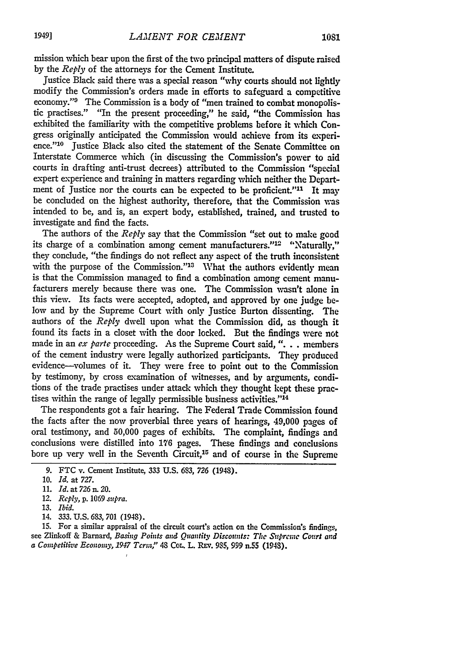1081

mission which bear upon the first of the two principal matters of dispute raised by the *Reply* of the attorneys for the Cement Institute.

Justice Black said there was a special reason "why courts should not lightly modify the Commission's orders made in efforts to safeguard a competitive economy."<sup>9</sup> The Commission is a body of "men trained to combat monopolistic practises." "In the present proceeding," he said, "the Commission has exhibited the familiarity with the competitive problems before it which Congress originally anticipated the Commission would achieve from its experience."<sup>10</sup> Justice Black also cited the statement of the Senate Committee on Interstate Commerce which (in discussing the Commission's power to aid courts in drafting anti-trust decrees) attributed to the Commission "special expert experience and training in matters regarding which neither the Department of Justice nor the courts can be expected to be proficient."<sup>11</sup> It may be concluded on the highest authority, therefore, that the Commission was intended to be, and is, an expert body, established, trained, and trusted to investigate and find the facts.

The authors of the *Reply* say that the Commission "set out to make good its charge of a combination among cement manufacturers."<sup>12</sup> "Naturally," they conclude, "the findings do not reflect any aspect of the truth inconsistent with the purpose of the Commission."<sup>13</sup> What the authors evidently mean is that the Commission managed to find a combination among cement manufacturers merely because there was one. The Commission wasn't alone in this view. Its facts were accepted, adopted, and approved by one judge below and by the Supreme Court with only Justice Burton dissenting. The authors of the *Reply* dwell upon what the Commission did, as though it found its facts in a closet with the door locked. But the findings were not made in an *ex parte* proceeding. As the Supreme Court said, ". **.** . members of the cement industry were legally authorized participants. They produced evidence-volumes of it. They were free to point out to the Commission by testimony, by cross examination of witnesses, and by arguments, conditions of the trade practises under attack which they thought kept these practises within the range of legally permissible business activities."<sup>14</sup>

The respondents got a fair hearing. The Federal Trade Commission found the facts after the now proverbial three years of hearings, 49,000 pages of oral testimony, and 50,000 pages of exhibits. The complaint, findings and conclusions were distilled into **176** pages. These findings and conclusions bore up very well in the Seventh Circuit,<sup>15</sup> and of course in the Supreme

**1**

- **13.** *Ibid.*
- 14. 333. U.S. 683, **701** (1948).

15. For a similar appraisal of the circuit court's action on the Commission's findings, see Zlinkoff & Barnard, *Basing Points and Quantity Discounts: The Supreme Court and a Competitive Economy, 1947* **Term,"** 48 CoL. L. Rav. **9,5, 999** n.55 (1948).

**<sup>9.</sup> FTC** v. Cement Institute, **333** U.S. 6,3, *726* (1948).

<sup>10.</sup> *Id.* at *727.*

<sup>11.</sup> *Id. at726n. 20.*

*<sup>12.</sup> Reply, p.* 1069 *supra.*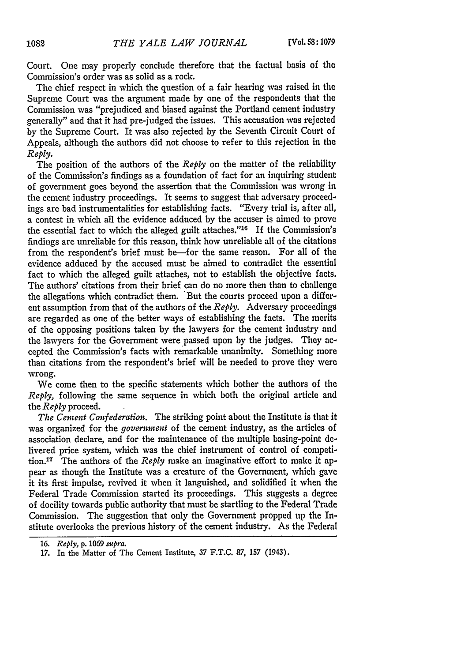Court. One may properly conclude therefore that the factual basis of the Commission's order was as solid as a rock.

The chief respect in which the question of a fair hearing was raised in the Supreme Court was the argument made by one of the respondents that the Commission was "prejudiced and biased against the Portland cement industry generally" and that it had pre-judged the issues. This accusation was rejected by the Supreme Court. It was also rejected by the Seventh Circuit Court of Appeals, although the authors did not choose to refer to this rejection in the *Reply.*

The position of the authors of the *Reply* on the matter of the reliability of the Commission's findings as a foundation of fact for an inquiring student of government goes beyond the assertion that the Commission was wrong in the cement industry proceedings. It seems to suggest that adversary proceedings are bad instrumentalities for establishing facts. "Every trial is, after all, a contest in which all the evidence adduced by the accuser is aimed to prove the essential fact to which the alleged guilt attaches." $16$  If the Commission's findings are unreliable for this reason, think how unreliable all of the citations from the respondent's brief must be-for the same reason. For all of the evidence adduced by the accused must be aimed to contradict the essential fact to which the alleged guilt attaches, not to establish the objective facts. The authors' citations from their brief can do no more then than to challenge the allegations which contradict them. But the courts proceed upon a different assumption from that of the authors of the *Reply.* Adversary proceedings are regarded as one of the better ways of establishing the facts. The merits of the opposing positions taken **by** the lawyers for the cement industry and the lawyers for the Government were passed upon **by** the judges. **They** accepted the Commission's facts with remarkable unanimity. Something more than citations from the respondent's brief will be needed to prove they were wrong.

We come then to the specific statements which bother the authors of the *Reply,* following the same sequence in which both the original article and the *Reply* proceed.

*The Cement Confederation.* The striking point about the Institute is that it was organized for the *goveriment* of the cement industry, as the articles of association declare, and for the maintenance of the multiple basing-point delivered price system, which was the chief instrument of control of competition.1T The authors of the *Reply* make an imaginative effort to make it appear as though the Institute was a creature of the Government, which gave it its first impulse, revived it when it languished, and solidified it when the Federal Trade Commission started its proceedings. This suggests a degree of docility towards public authority that must be startling to the Federal Trade Commission. The suggestion that only the Government propped **up** the Institute overlooks the previous history of the cement industry. As the Federal

*<sup>16.</sup> Reply,* **p.** 1069 *mpra.*

**<sup>17.</sup>** In the Matter of The Cement Institute, 37 F.T.C. 87, 157 (1943).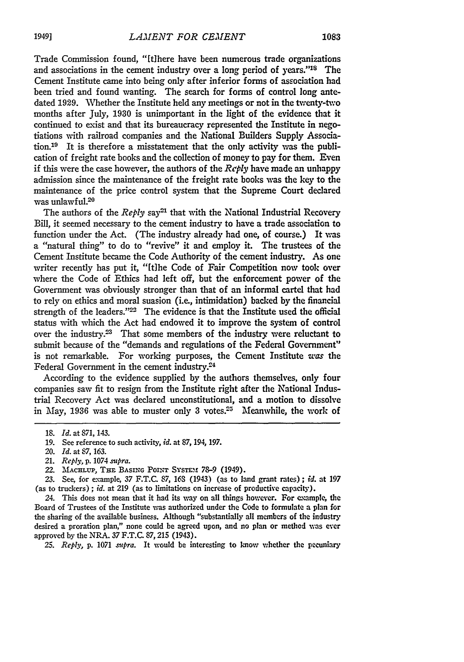Trade Commission found, "tihere have been numerous trade organizations and associations in the cement industry over a long period of years."<sup>18</sup> The Cement Institute came into being only after inferior forms of association had been tried and found wanting. The search for forms of control long antedated 1929. Whether the Institute held any meetings or not in the twenty-two months after July, 1930 is unimportant in the light of the evidence that it continued to exist and that its bureaucracy represented the Institute in negotiations with railroad companies and the National Builders Supply Association.<sup>19</sup> It is therefore a misstatement that the only activity was the publication of freight rate books and the collection of money to pay for them. Even if this were the case however, the authors of the *Reply* have made an unhappy admission since the maintenance of the freight rate books was the key to the maintenance of the price control system that the Supreme Court declared was unlawful.20

The authors of the *Reply* say<sup>21</sup> that with the National Industrial Recovery Bill, it seemed necessary to the cement industry to have a trade association to function under the Act. (The industry already had one, of course.) It was a "natural thing" to do to "revive" it and employ it. The trustees of the Cement Institute became the Code Authority of the cement industry. As one writer recently has put it, "[t]he Code of Fair Competition now took over where the Code of Ethics had left off, but the enforcement power of the Government was obviously stronger than that of an informal cartel that had to rely on ethics and moral suasion (i.e., intimidation) backed by the financial strength of the leaders." $22$  The evidence is that the Institute used the official status with which the Act had endowed it to improve the system of control over the industry.<sup>23</sup> That some members of the industry were reluctant to submit because of the "demands and regulations of the Federal Government" is not remarkable. For working purposes, the Cement Institute was the Federal Government in the cement industry.24

According to the evidence supplied by the authors themselves, only four companies saw fit to resign from the Institute right after the National Industrial Recovery Act was declared unconstitutional, and a motion to dissolve in May, 1936 was able to muster only 3 votes.<sup>25</sup> Meanwhile, the work of

22. MACHLUP, THE BASING POINT SYSTEM 78-9 (1949).

24. This does not mean that it had its way on all things however. For example, the Board of Trustees of the Institute was authorized under the Code to formulate a plan for the sharing of the available business. Although "substantially all members of the industry desired a proration plan," none could be agreed upon, and no plan or method was ever approved **by** the NRA. **37 F.T.C. 87, 215** (1943).

*25. Reply,* **p. 1071** *sumra.* It would be interesting to know whether the pecuniary

<sup>18.</sup> *Id.* at **871,** 143.

<sup>19.</sup> See reference to such activity, *id.* at 87, 194, 197.

<sup>20.</sup> *Id.* at *87,* 163.

<sup>21.</sup> *Reply,* p. 1074 *supra.*

**<sup>23.</sup>** See, for example, **37 F.T.C. 87,** *16S* (1943) (as to land grant rates) **;** *id.* at **197** (as to truckers) **;** *id.* at **219** (as to limitations on increase of productive capacity).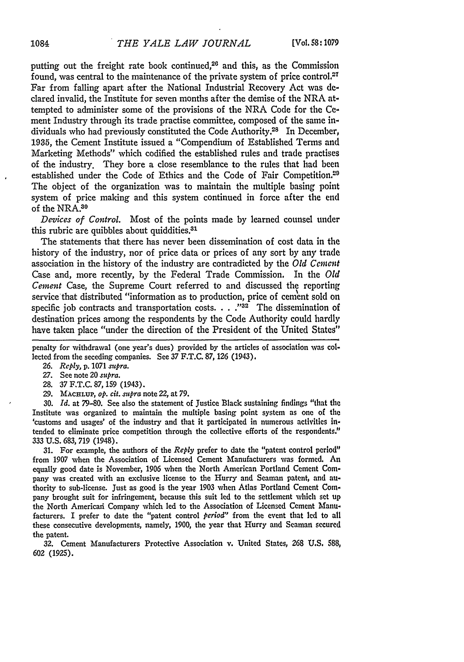putting out the freight rate book continued. $2<sup>6</sup>$  and this, as the Commission found, was central to the maintenance of the private system of price control.<sup>27</sup> Far from falling apart after the National Industrial Recovery Act was declared invalid, the Institute for seven months after the demise of the NRA attempted to administer some of the provisions of the NRA Code for the Cement Industry through its trade practise committee, composed of the same individuals who had previously constituted the Code Authority.28 In December, **1935,** the Cement Institute issued a "Compendium of Established Terms and Marketing Methods" which codified the established rules and trade practises of the industry. They bore a close resemblance to the rules that had been established under the Code of Ethics and the Code of Fair Competition.<sup>20</sup> The object of the organization was to maintain the multiple basing point system of price making and this system continued in force after the end of the NRA.<sup>30</sup>

*Devices of Control.* Most of the points made **by** learned counsel under this rubric are quibbles about quiddities. $31$ 

The statements that there has never been dissemination of cost data in the history of the industry, nor of price data or prices of any sort **by** any trade association in the history of the industry are contradicted **by** the *Old Centn* Case and, more recently, **by** the Federal Trade Commission. In the *Old Cement* Case, the Supreme Court referred to and discussed the reporting service that distributed "information as to production, price of cement sold on specific job contracts and transportation costs.  $\ldots$   $\ldots$   $\ddot{32}$ . The dissemination of destination prices among the respondents **by** the Code Authority could hardly have taken place "under the direction of the President of the United States"

- **27.** See note 20 *supra.*
- **28.** 37 **F.T.C.** 87, 159 (1943).
- **29. MAcrLUP,** *op. cit. supra* note *22,* at *79.*

**30.** *Id.* at 79-80. See also the statement of Justice Black sustaining findings "that the Institute was organized to maintain the multiple basing point system as one of the 'customs and usages' of the industry and that it participated in numerous activities intended to eliminate price competition through the collective efforts of the respondents." 333 **U.S.** 683, **719** (1948).

**31.** For example, the authors of the *Reply* prefer to date the "patent control period" from 1907 when the Association of Licensed Cement Manufacturers was formed. An equally good date is November, **1906** when the North American Portland Cement Company was created with an exclusive license to the Hurry and Seaman patent, and authority to sub-license. Just as good is the year 1903 when Atlas Portland Cement Company brought suit for infringement, because this suit led to the settlement which set **up** the North American Company which led to the Association of Licensed Cement Manufacturers. I prefer to date the "patent control *period"* from the event that **led** to all these consecutive developments, namely, 1900, the year that Hurry and Seaman secured the patent.

**32.** Cement Manufacturers Protective Association v. United States, **268 U.S.** 588, 602 (1925).

penalty for withdrawal (one year's dues) provided by the articles of association was collected from the seceding companies. See 37 F.T.C. **87, 126** (1943).

**<sup>26.</sup>** *Reply,* **p.** 1071 *supra.*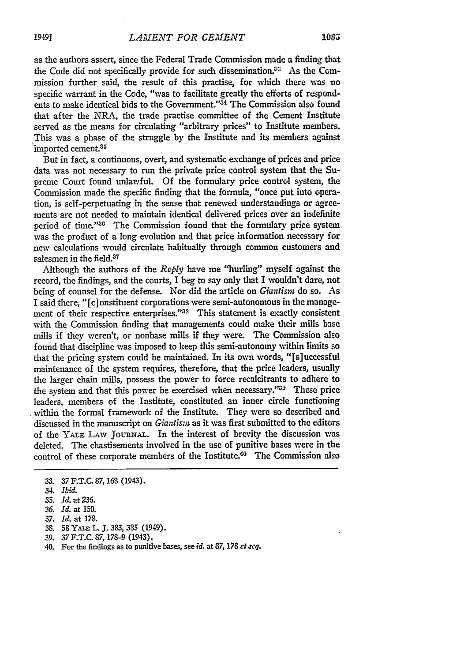as the authors assert, since the Federal Trade Commission made a finding that the Code did not specifically provide for such dissemination.<sup>33</sup> As the Commission further said, the result of this practise, for which there **was** no specific warrant in the Code, "was to facilitate greatly the efforts of respondents to make identical bids to the Government." $34$  The Commission also found that after the NRA, the trade practise committee of the Cement Institute served as the means for circulating "arbitrary prices" to Institute members. This was a phase of the struggle **by** the Institute and its members against imported cement.<sup>35</sup>

But in fact, a continuous, overt, and systematic exchange of prices and price data was not necessary to run the private price control system that the Supreme Court found unlawful. **Of** the formulary price control system, the Commission made the specific finding that the formula, "once put into operation, is self-perpetuating in the sense that renewed understandings or agreements are not needed to maintain identical delivered prices over an indefinite period of time."<sup>36</sup> The Commission found that the formulary price system was the product of a long evolution and that price information necessary for new calculations would circulate habitually through common customers and salesmen in the field.<sup>37</sup>

Although the authors of the *Reply* have me "hurling" myself against the record, the findings, and the courts, **I** beg to say only that I wouldn't dare, not being of counsel for the defense. Nor did the article on *Giantism* do so. As I said there, **"[c]** onstituent corporations were semi-autonomous in the management of their respective enterprises."<sup>38</sup> This statement is exactly consistent with the Commission finding that managements could make their mills base mills if they weren't, or nonbase mills if they were. The Commission also found that discipline **was** imposed to keep this semi-autonomy within limits so that the pricing system could be maintained. In its own words, **"[s]** uccessful maintenance of the system requires, therefore, that the price leaders, usually the larger chain mills, possess the power to force recalcitrants to adhere to the system and that this power be exercised when necessary."39 These price leaders, members of the Institute, constituted an inner circle functioning within the formal framework of the Institute. They were so described and discussed in the manuscript on *Giantism* as it was first submitted to the editors of the YALE LAW JOURNAL. In the interest of brevity the discussion was deleted. The chastisements involved in the use of punitive bases were in the control of these corporate members of the Institute.<sup>40</sup> The Commission also

- **38. 58 YALE L.J . 383, 385** (1949).
- **39. 37 F.T.C. 87, 178-9** (1943).
- 40. For the findings as to punitive bases, see *id.* at **87, 178** *ct seq.*

**<sup>33. 37</sup> F.T.C. 87, 168** (1943).

<sup>34.</sup> *Ibid.*

**<sup>35.</sup>** *Id. at 236.*

*<sup>36.</sup> Id.* at **150.**

**<sup>37.</sup>** *Id.* at **178.**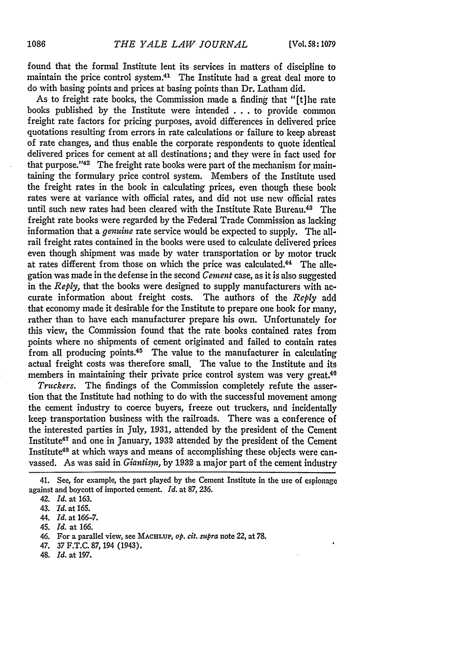found that the formal Institute lent its services in matters of discipline to maintain the price control system.<sup>41</sup> The Institute had a great deal more to do with basing points and prices at basing points than Dr. Latham did.

As to freight rate books, the Commission made a finding that "(t] he rate books published **by** the Institute were intended **. . .** to provide common freight rate factors for pricing purposes, avoid differences in delivered price quotations resulting from errors in rate calculations or failure to keep abreast of rate changes, and thus enable the corporate respondents to quote identical delivered prices for cement at all destinations; and they were in fact used for that purpose. '42 The freight rate books were part of the mechanism for maintaining the formulary price control system. Members of the Institute used the freight rates in the book in calculating prices, even though these book rates were at variance with official rates, and did not use new official rates until such new rates had been cleared with the Institute Rate Bureau.48 The freight rate books were regarded **by** the Federal Trade Commission as lacking information that a *genuine* rate service would be expected to supply. The allrail freight rates contained in the books were used to calculate delivered prices even though shipment was made **by** water transportation or **by** motor truck at rates different from those on which the price was calculated.<sup>44</sup> The allegation was made in the defense in the second *Cement* case, as it is also suggested in the *Reply,* that the books were designed to supply manufacturers with accurate information about freight costs. The authors of the *Reply* add that economy made it desirable for the Institute to prepare one book for many, rather than to have each manufacturer prepare his own. Unfortunately for this view, the Commission found that the rate books contained rates from points where no shipments of cement originated and failed to contain rates from **all** producing points.45 The value to the manufacturer in calculating actual freight costs was therefore small. The value to the Institute and its members in maintaining their private price control system was very great.<sup>46</sup>

*Truckers.* The findings of the Commission completely refute the assertion that the Institute had nothing to do with the successful movement among the cement industry to coerce buyers, freeze out truckers, and incidentally keep transportation business with the railroads. There was a conference of the interested parties in July, 1931, attended **by** the president of the Cement Institute<sup>47</sup> and one in January, 1932 attended by the president of the Cement Institute<sup>48</sup> at which ways and means of accomplishing these objects were canvassed. As was said in *Giantism*, by 1932 a major part of the cement industry

- 46. For a parallel view, see **MACHLUP,** *op. cit. supra* note 22, at **78.**
- 47. **37** F.T.C. **87,** 194 (1943).
- 48. *Id.* at 197.

<sup>41.</sup> See, for example, the part played **by** the Cement Institute in the use of espionage against and boycott of imported cement. *Id.* at **87, 236.**

<sup>42.</sup> *Id.* at **163.**

<sup>43.</sup> *Id.* at **165.**

<sup>44.</sup> *Id.* at **166-7.**

<sup>45.</sup> *Id.* at **166.**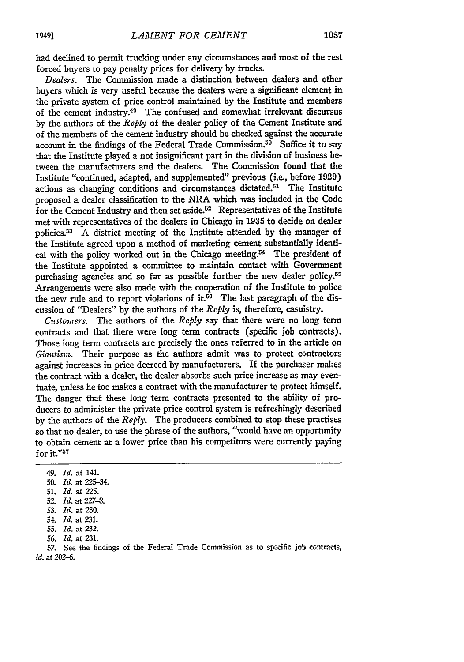had declined **to** permit trucking under any circumstances and most of the rest forced buyers to pay penalty prices for delivery by trucks.

*Dealers.* The Commission made a distinction between dealers and other buyers which is very useful because the dealers were a significant element in the private system of price control maintained by the Institute and members of the cement industry.49 The confused and somewhat irrelevant discursus **by** the authors of the *Reply* of the dealer policy of the Cement Institute and of the members of the cement industry should be checked against the accurate account in the findings of the Federal Trade Commission.<sup>50</sup> Suffice it to sav that the Institute played a not insignificant part in the division of business between the manufacturers and the dealers. The Commission found that the Institute "continued, adapted, and supplemented" previous (i.e., before 1929) actions as changing conditions and circumstances dictated.<sup>51</sup> The Institute proposed a dealer classification to the NRA which was included in the Code for the Cement Industry and then set aside. $52$  Representatives of the Institute met with representatives of the dealers in Chicago in **1935** to decide on dealer policies. A district meeting of the Institute attended by the manager of the Institute agreed upon a method of marketing cement substantially identical with the policy worked out in the Chicago meeting.<sup>54</sup> The president of the Institute appointed a committee to maintain contact with Government purchasing agencies and so far as possible further the new dealer policy.<sup>25</sup> Arrangements were also made with the cooperation of the Institute to police the new rule and to report violations of it. $56$  The last paragraph of the discussion of "Dealers" by the authors of the *Reply* is, therefore, casuistry.

*Customners.* The authors of the *Reply* say that there were no long term contracts and that there were long term contracts (specific **job** contracts). Those long term contracts are precisely the ones referred to in the article on *Giantism.* Their purpose as the authors admit was to protect contractors against increases in price decreed by manufacturers. If the purchaser makes the contract with a dealer, the dealer absorbs such price increase as may eventuate, unless he too makes a contract with the manufacturer to protect himself. The danger that these long term contracts presented to the ability of producers to administer the private price control system is refreshingly described by the authors of the *Reply.* The producers combined to stop these practises so that no dealer, to use the phrase of the authors, "would have an opportunity to obtain cement at a lower price than his competitors were currently paying  $\overline{\rm{for\;}$ it." $^{57}}$ 

- 49. *Id.* at 141.
- 50. *Id.* at 225-34.
- 51. *Id.* at 225.
- 52. *Id.* at 227-8.
- 53. *Id.* at 230.
- 54. *Id.* at 231.
- 55. *Id.* at 232.
- *56. Id.* at 231.

**57.** See the findings of the Federal Trade Commission as to specific job contracts, *id.* at 202-6.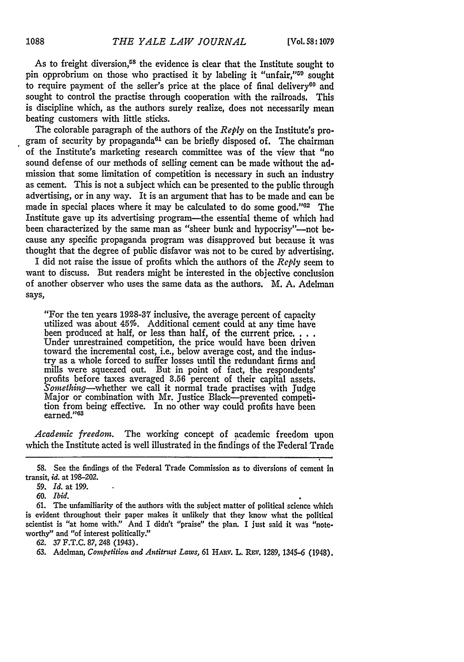As to freight diversion,<sup> $58$ </sup> the evidence is clear that the Institute sought to pin opprobrium on those who practised it by labeling it "unfair,"<sup>59</sup> sought to require payment of the seller's price at the place of final delivery<sup>60</sup> and sought to control the practise through cooperation with the railroads. This is discipline which, as the authors surely realize, does not necessarily mean beating customers with little sticks.

The colorable paragraph of the authors of the *Reply* on the Institute's program of security by propaganda $61$  can be briefly disposed of. The chairman of the Institute's marketing research committee was of the view that "no sound defense of our methods of selling cement can be made without the admission that some limitation of competition is necessary in such an industry as cement. This is not a subject which can be presented to the public through advertising, or in any way. It is an argument that has to be made and can be made in special places where it may be calculated to do some good."<sup>02</sup> The Institute gave up its advertising program-the essential theme of which had been characterized by the same man as "sheer bunk and hypocrisy"—not because any specific propaganda program was disapproved but because it was thought that the degree of public disfavor was not to be cured by advertising.

I did not raise the issue of profits which the authors of the *Reply* seem to want to discuss. But readers might be interested in the objective conclusion of another observer who uses the same data as the authors. M. A. Adelman says,

"For the ten years **1928-37** inclusive, the average percent of capacity utilized was about 45%. Additional cement could at any time have been produced at half, or less than half, of the current price. . . . Under unrestrained competition, the price would have been driven toward the incremental cost, i.e., below average cost, and the industry as a whole forced to suffer losses until the redundant firms and mills were squeezed out. But in point of fact, the respondents' profits before taxes averaged 3.56 percent of their capital assets. *Something-whether* we call it normal trade practises with judge Major or combination with Mr. Justice Black-prevented conpetition from being effective. In no other way could profits have been earned."<sup>63</sup>

*Academic freedom.* The working concept of academic freedom upon which the Institute acted is well illustrated in the findings of the Federal Trade

**62.** 37 F.T.C. 87, 248 (1943).

63. Adelman, *Competition and Antitrust Laws*, 61 HARV. L. REV. 1289, 1345-6 (1948).

<sup>58.</sup> See the findings of the Federal Trade Commission as to diversions of cement in transit, *id.* at 198-202.

<sup>59.</sup> *Id.* at 199.

*<sup>60.</sup> Ibid.*

<sup>61.</sup> The unfamiliarity of the authors with the subject matter of political science which is evident throughout their paper makes it unlikely that they know what the political scientist is "at home with.' And I didn't "praise" the plan. I just said it was "noteworthy" and "of interest politically."